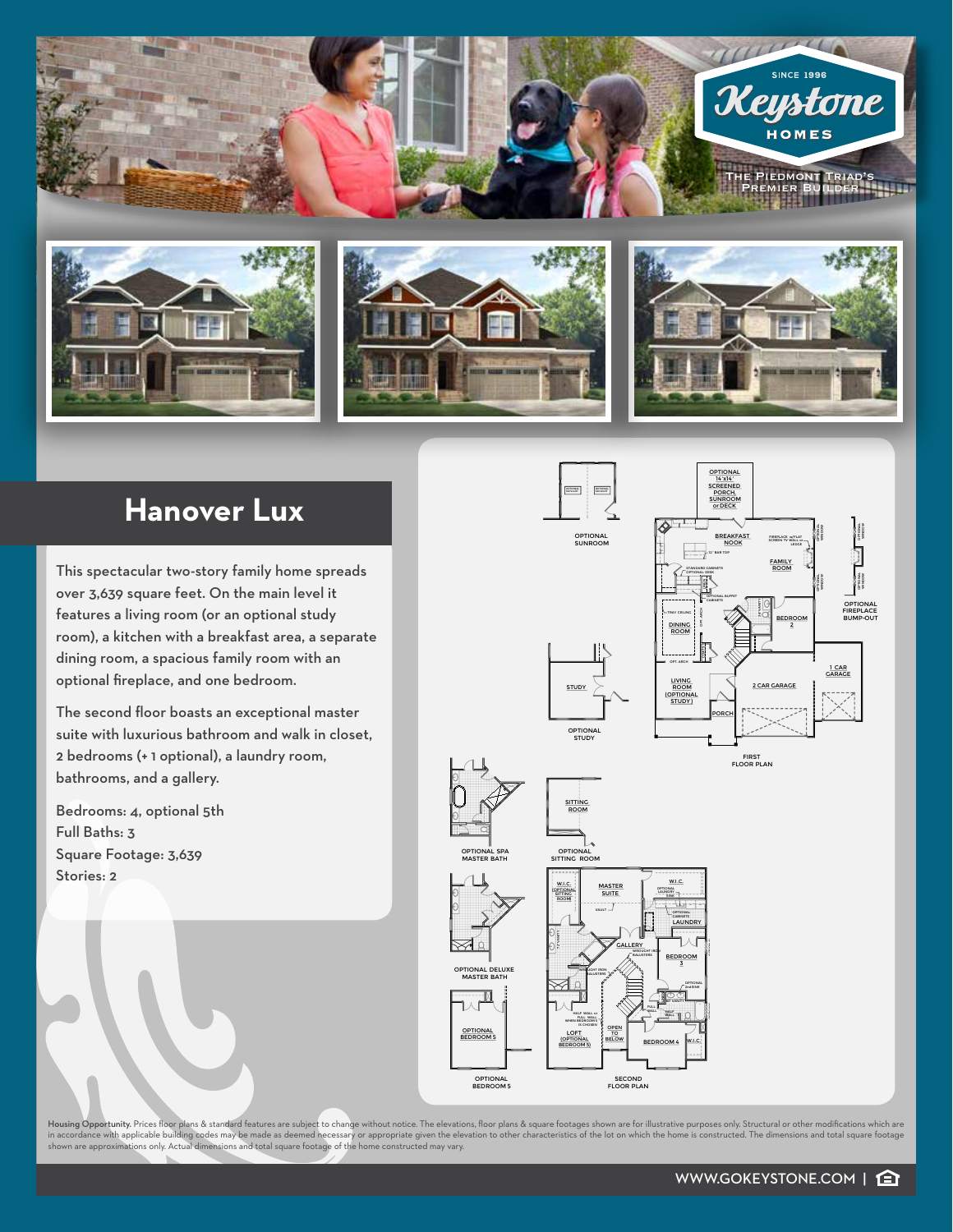

## **Hanover Lux**

This spectacular two-story family home spreads over 3,639 square feet. On the main level it features a living room (or an optional study room), a kitchen with a breakfast area, a separate dining room, a spacious family room with an optional fireplace, and one bedroom.

The second floor boasts an exceptional master suite with luxurious bathroom and walk in closet, 2 bedrooms (+ 1 optional), a laundry room, bathrooms, and a gallery.

Bedrooms: 4, optional 5th Full Baths: 3 Square Footage: 3,639 Stories: 2



Housing Opportunity. Prices floor plans & standard features are subject to change without notice. The elevations, floor plans & square footages shown are for illustrative purposes only. Structural or other modifications wh